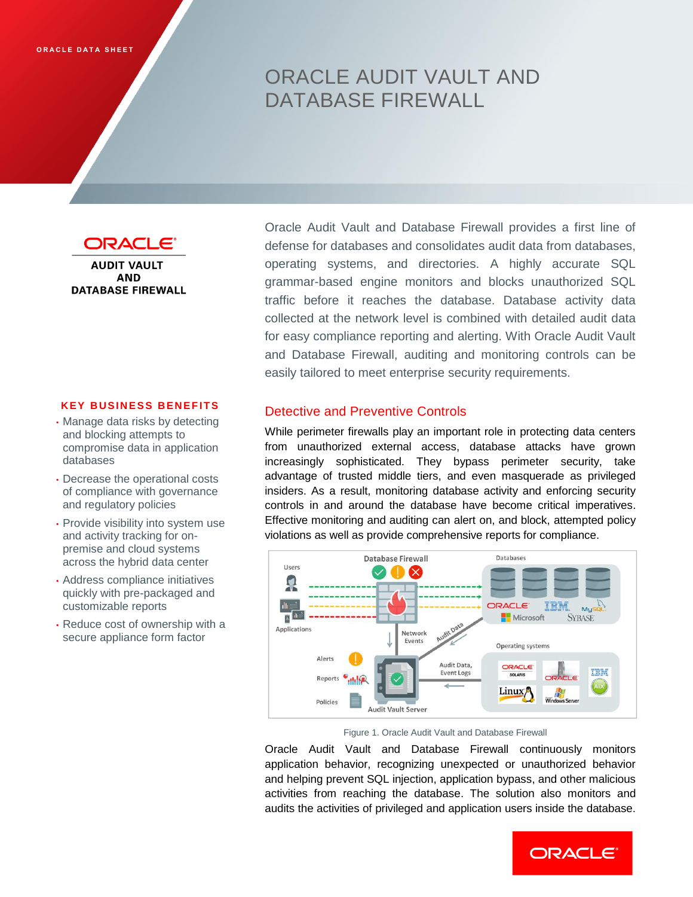# ORACLE AUDIT VAULT AND DATABASE FIREWALL



**AUDIT VAULT AND DATABASE FIREWALL** 

#### **KEY BUSINESS BENEFITS**

- Manage data risks by detecting and blocking attempts to compromise data in application databases
- Decrease the operational costs of compliance with governance and regulatory policies
- Provide visibility into system use and activity tracking for onpremise and cloud systems across the hybrid data center
- Address compliance initiatives quickly with pre-packaged and customizable reports
- Reduce cost of ownership with a secure appliance form factor

Oracle Audit Vault and Database Firewall provides a first line of defense for databases and consolidates audit data from databases, operating systems, and directories. A highly accurate SQL grammar-based engine monitors and blocks unauthorized SQL traffic before it reaches the database. Database activity data collected at the network level is combined with detailed audit data for easy compliance reporting and alerting. With Oracle Audit Vault and Database Firewall, auditing and monitoring controls can be easily tailored to meet enterprise security requirements.

# Detective and Preventive Controls

While perimeter firewalls play an important role in protecting data centers from unauthorized external access, database attacks have grown increasingly sophisticated. They bypass perimeter security, take advantage of trusted middle tiers, and even masquerade as privileged insiders. As a result, monitoring database activity and enforcing security controls in and around the database have become critical imperatives. Effective monitoring and auditing can alert on, and block, attempted policy violations as well as provide comprehensive reports for compliance.



Figure 1. Oracle Audit Vault and Database Firewall

Oracle Audit Vault and Database Firewall continuously monitors application behavior, recognizing unexpected or unauthorized behavior and helping prevent SQL injection, application bypass, and other malicious activities from reaching the database. The solution also monitors and audits the activities of privileged and application users inside the database.

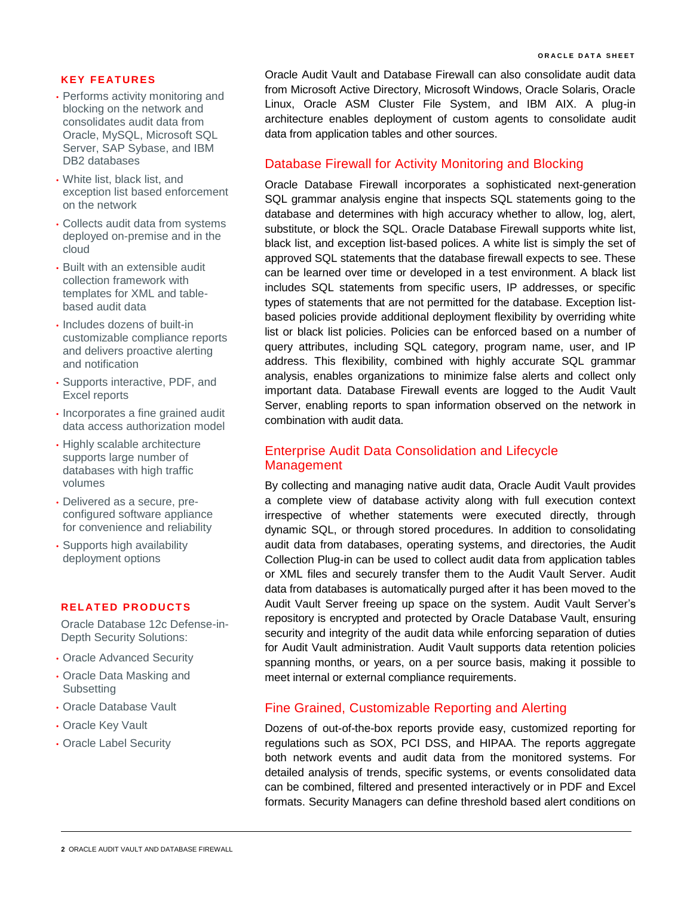#### **KEY FE AT UR ES**

- Performs activity monitoring and blocking on the network and consolidates audit data from Oracle, MySQL, Microsoft SQL Server, SAP Sybase, and IBM DB2 databases
- White list, black list, and exception list based enforcement on the network
- Collects audit data from systems deployed on-premise and in the cloud
- Built with an extensible audit collection framework with templates for XML and tablebased audit data
- Includes dozens of built-in customizable compliance reports and delivers proactive alerting and notification
- Supports interactive, PDF, and Excel reports
- Incorporates a fine grained audit data access authorization model
- Highly scalable architecture supports large number of databases with high traffic volumes
- Delivered as a secure, preconfigured software appliance for convenience and reliability
- Supports high availability deployment options

#### **RELATED PRODUCTS**

Oracle Database 12c Defense-in-Depth Security Solutions:

- Oracle Advanced Security
- Oracle Data Masking and **Subsetting**
- Oracle Database Vault
- Oracle Key Vault
- Oracle Label Security

Oracle Audit Vault and Database Firewall can also consolidate audit data from Microsoft Active Directory, Microsoft Windows, Oracle Solaris, Oracle Linux, Oracle ASM Cluster File System, and IBM AIX. A plug-in architecture enables deployment of custom agents to consolidate audit data from application tables and other sources.

### Database Firewall for Activity Monitoring and Blocking

Oracle Database Firewall incorporates a sophisticated next-generation SQL grammar analysis engine that inspects SQL statements going to the database and determines with high accuracy whether to allow, log, alert, substitute, or block the SQL. Oracle Database Firewall supports white list, black list, and exception list-based polices. A white list is simply the set of approved SQL statements that the database firewall expects to see. These can be learned over time or developed in a test environment. A black list includes SQL statements from specific users, IP addresses, or specific types of statements that are not permitted for the database. Exception listbased policies provide additional deployment flexibility by overriding white list or black list policies. Policies can be enforced based on a number of query attributes, including SQL category, program name, user, and IP address. This flexibility, combined with highly accurate SQL grammar analysis, enables organizations to minimize false alerts and collect only important data. Database Firewall events are logged to the Audit Vault Server, enabling reports to span information observed on the network in combination with audit data.

## Enterprise Audit Data Consolidation and Lifecycle Management

By collecting and managing native audit data, Oracle Audit Vault provides a complete view of database activity along with full execution context irrespective of whether statements were executed directly, through dynamic SQL, or through stored procedures. In addition to consolidating audit data from databases, operating systems, and directories, the Audit Collection Plug-in can be used to collect audit data from application tables or XML files and securely transfer them to the Audit Vault Server. Audit data from databases is automatically purged after it has been moved to the Audit Vault Server freeing up space on the system. Audit Vault Server's repository is encrypted and protected by Oracle Database Vault, ensuring security and integrity of the audit data while enforcing separation of duties for Audit Vault administration. Audit Vault supports data retention policies spanning months, or years, on a per source basis, making it possible to meet internal or external compliance requirements.

# Fine Grained, Customizable Reporting and Alerting

Dozens of out-of-the-box reports provide easy, customized reporting for regulations such as SOX, PCI DSS, and HIPAA. The reports aggregate both network events and audit data from the monitored systems. For detailed analysis of trends, specific systems, or events consolidated data can be combined, filtered and presented interactively or in PDF and Excel formats. Security Managers can define threshold based alert conditions on